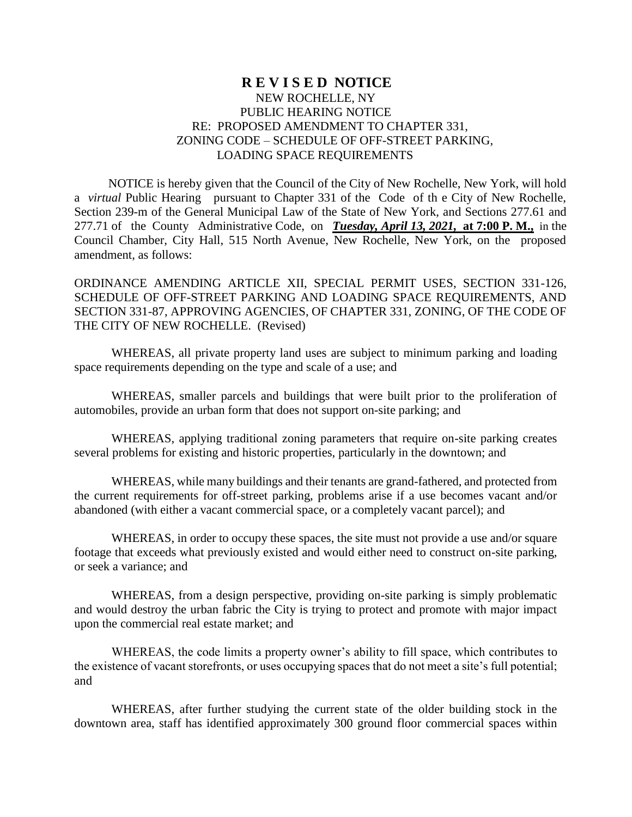## **R E V I S E D NOTICE** NEW ROCHELLE, NY PUBLIC HEARING NOTICE RE: PROPOSED AMENDMENT TO CHAPTER 331, ZONING CODE – SCHEDULE OF OFF-STREET PARKING, LOADING SPACE REQUIREMENTS

 NOTICE is hereby given that the Council of the City of New Rochelle, New York, will hold a *virtual* Public Hearing pursuant to Chapter 331 of the Code of th e City of New Rochelle, Section 239-m of the General Municipal Law of the State of New York, and Sections 277.61 and 277.71 of the County Administrative Code, on *Tuesday, April 13, 2021,* **at 7:00 P. M.,** in the Council Chamber, City Hall, 515 North Avenue, New Rochelle, New York, on the proposed amendment, as follows:

ORDINANCE AMENDING ARTICLE XII, SPECIAL PERMIT USES, SECTION 331-126, SCHEDULE OF OFF-STREET PARKING AND LOADING SPACE REQUIREMENTS, AND SECTION 331-87, APPROVING AGENCIES, OF CHAPTER 331, ZONING, OF THE CODE OF THE CITY OF NEW ROCHELLE. (Revised)

WHEREAS, all private property land uses are subject to minimum parking and loading space requirements depending on the type and scale of a use; and

WHEREAS, smaller parcels and buildings that were built prior to the proliferation of automobiles, provide an urban form that does not support on-site parking; and

WHEREAS, applying traditional zoning parameters that require on-site parking creates several problems for existing and historic properties, particularly in the downtown; and

WHEREAS, while many buildings and their tenants are grand-fathered, and protected from the current requirements for off-street parking, problems arise if a use becomes vacant and/or abandoned (with either a vacant commercial space, or a completely vacant parcel); and

WHEREAS, in order to occupy these spaces, the site must not provide a use and/or square footage that exceeds what previously existed and would either need to construct on-site parking, or seek a variance; and

WHEREAS, from a design perspective, providing on-site parking is simply problematic and would destroy the urban fabric the City is trying to protect and promote with major impact upon the commercial real estate market; and

WHEREAS, the code limits a property owner's ability to fill space, which contributes to the existence of vacant storefronts, or uses occupying spaces that do not meet a site's full potential; and

WHEREAS, after further studying the current state of the older building stock in the downtown area, staff has identified approximately 300 ground floor commercial spaces within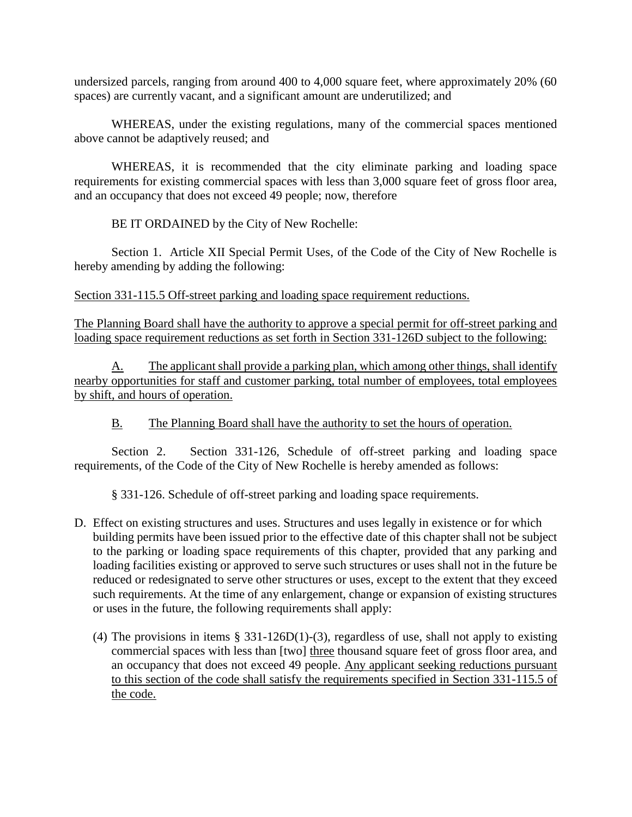undersized parcels, ranging from around 400 to 4,000 square feet, where approximately 20% (60 spaces) are currently vacant, and a significant amount are underutilized; and

WHEREAS, under the existing regulations, many of the commercial spaces mentioned above cannot be adaptively reused; and

WHEREAS, it is recommended that the city eliminate parking and loading space requirements for existing commercial spaces with less than 3,000 square feet of gross floor area, and an occupancy that does not exceed 49 people; now, therefore

BE IT ORDAINED by the City of New Rochelle:

Section 1. Article XII Special Permit Uses, of the Code of the City of New Rochelle is hereby amending by adding the following:

Section 331-115.5 Off-street parking and loading space requirement reductions.

The Planning Board shall have the authority to approve a special permit for off-street parking and loading space requirement reductions as set forth in Section 331-126D subject to the following:

A. The applicant shall provide a parking plan, which among other things, shall identify nearby opportunities for staff and customer parking, total number of employees, total employees by shift, and hours of operation.

## B. The Planning Board shall have the authority to set the hours of operation.

Section 2. Section 331-126, Schedule of off-street parking and loading space requirements, of the Code of the City of New Rochelle is hereby amended as follows:

§ 331-126. Schedule of off-street parking and loading space requirements.

- D. Effect on existing structures and uses. Structures and uses legally in existence or for which building permits have been issued prior to the effective date of this chapter shall not be subject to the parking or loading space requirements of this chapter, provided that any parking and loading facilities existing or approved to serve such structures or uses shall not in the future be reduced or redesignated to serve other structures or uses, except to the extent that they exceed such requirements. At the time of any enlargement, change or expansion of existing structures or uses in the future, the following requirements shall apply:
	- (4) The provisions in items  $\S$  331-126D(1)-(3), regardless of use, shall not apply to existing commercial spaces with less than [two] three thousand square feet of gross floor area, and an occupancy that does not exceed 49 people. Any applicant seeking reductions pursuant to this section of the code shall satisfy the requirements specified in Section 331-115.5 of the code.